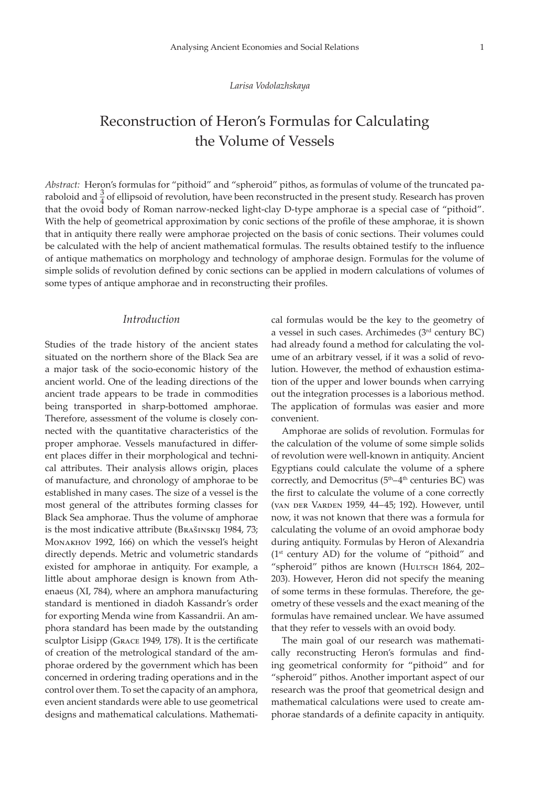#### *Larisa Vodolazhskaya*

# Reconstruction of Heron's Formulas for Calculating the Volume of Vessels

*Abstract:* Heron's formulas for "pithoid" and "spheroid" pithos, as formulas of volume of the truncated paraboloid and  $\frac{3}{4}$  of ellipsoid of revolution, have been reconstructed in the present study. Research has proven that the ovoid body of Roman narrow-necked light-clay D-type amphorae is a special case of "pithoid". With the help of geometrical approximation by conic sections of the profile of these amphorae, it is shown that in antiquity there really were amphorae projected on the basis of conic sections. Their volumes could be calculated with the help of ancient mathematical formulas. The results obtained testify to the influence of antique mathematics on morphology and technology of amphorae design. Formulas for the volume of simple solids of revolution defined by conic sections can be applied in modern calculations of volumes of some types of antique amphorae and in reconstructing their profiles.

# *Introduction*

Studies of the trade history of the ancient states situated on the northern shore of the Black Sea are a major task of the socio-economic history of the ancient world. One of the leading directions of the ancient trade appears to be trade in commodities being transported in sharp-bottomed amphorae. Therefore, assessment of the volume is closely connected with the quantitative characteristics of the proper amphorae. Vessels manufactured in different places differ in their morphological and technical attributes. Their analysis allows origin, places of manufacture, and chronology of amphorae to be established in many cases. The size of a vessel is the most general of the attributes forming classes for Black Sea amphorae. Thus the volume of amphorae is the most indicative attribute (Brašinskij 1984, 73; Monakhov 1992, 166) on which the vessel's height directly depends. Metric and volumetric standards existed for amphorae in antiquity. For example, a little about amphorae design is known from Athenaeus (XI, 784), where an amphora manufacturing standard is mentioned in diadoh Kassandr's order for exporting Menda wine from Kassandrii. An amphora standard has been made by the outstanding sculptor Lisipp (Grace 1949, 178). It is the certificate of creation of the metrological standard of the amphorae ordered by the government which has been concerned in ordering trading operations and in the control over them. To set the capacity of an amphora, even ancient standards were able to use geometrical designs and mathematical calculations. Mathematical formulas would be the key to the geometry of a vessel in such cases. Archimedes (3rd century BC) had already found a method for calculating the volume of an arbitrary vessel, if it was a solid of revolution. However, the method of exhaustion estimation of the upper and lower bounds when carrying out the integration processes is a laborious method. The application of formulas was easier and more convenient.

Amphorae are solids of revolution. Formulas for the calculation of the volume of some simple solids of revolution were well-known in antiquity. Ancient Egyptians could calculate the volume of a sphere correctly, and Democritus (5<sup>th</sup>–4<sup>th</sup> centuries BC) was the first to calculate the volume of a cone correctly (van der Varden 1959, 44–45; 192). However, until now, it was not known that there was a formula for calculating the volume of an ovoid amphorae body during antiquity. Formulas by Heron of Alexandria  $(1<sup>st</sup> century AD)$  for the volume of "pithoid" and "spheroid" pithos are known (Hultsch 1864, 202– 203). However, Heron did not specify the meaning of some terms in these formulas. Therefore, the geometry of these vessels and the exact meaning of the formulas have remained unclear. We have assumed that they refer to vessels with an ovoid body.

The main goal of our research was mathematically reconstructing Heron's formulas and finding geometrical conformity for "pithoid" and for "spheroid" pithos. Another important aspect of our research was the proof that geometrical design and mathematical calculations were used to create amphorae standards of a definite capacity in antiquity.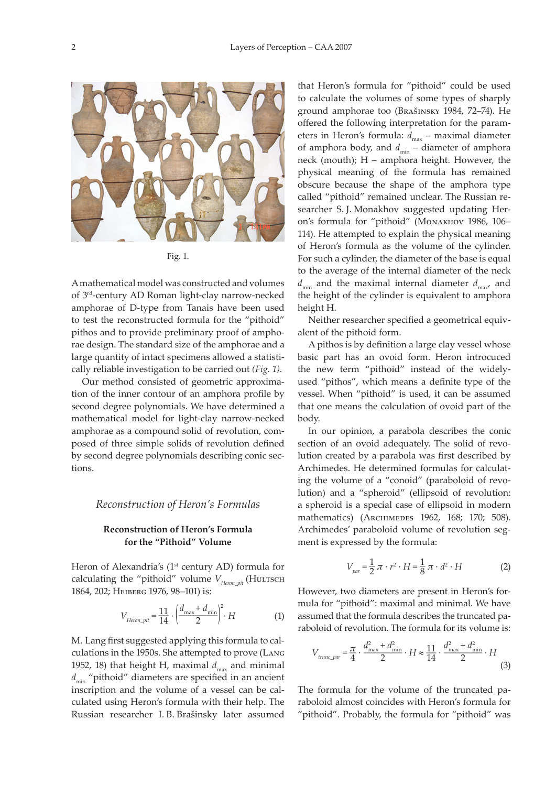

Fig. 1.

A mathematical model was constructed and volumes of 3rd-century AD Roman light-clay narrow-necked amphorae of D-type from Tanais have been used to test the reconstructed formula for the "pithoid" pithos and to provide preliminary proof of amphorae design. The standard size of the amphorae and a large quantity of intact specimens allowed a statistically reliable investigation to be carried out *(Fig. 1)*.

Our method consisted of geometric approximation of the inner contour of an amphora profile by second degree polynomials. We have determined a mathematical model for light-clay narrow-necked amphorae as a compound solid of revolution, composed of three simple solids of revolution defined by second degree polynomials describing conic sections.

# *Reconstruction of Heron's Formulas*

# **Reconstruction of Heron's Formula for the "Pithoid" Volume**

Heron of Alexandria's (1<sup>st</sup> century AD) formula for calculating the "pithoid" volume  $V_{Heron\_pit}$  (HULTSCH 1864, 202; Heiberg 1976, 98–101) is:

$$
V_{Heron\_pit} = \frac{11}{14} \cdot \left(\frac{d_{\text{max}} + d_{\text{min}}}{2}\right)^2 \cdot H
$$
 (1)

M. Lang first suggested applying this formula to calculations in the 1950s. She attempted to prove (Lang 1952, 18) that height H, maximal  $d_{\text{max}}$  and minimal *d*<sub>min</sub> "pithoid" diameters are specified in an ancient inscription and the volume of a vessel can be calculated using Heron's formula with their help. The Russian researcher I. B. Brašinsky later assumed

that Heron's formula for "pithoid" could be used to calculate the volumes of some types of sharply ground amphorae too (Brašinsky 1984, 72–74). He offered the following interpretation for the parameters in Heron's formula:  $d_{\text{max}}$  – maximal diameter of amphora body, and  $d_{\min}$  – diameter of amphora neck (mouth); H – amphora height. However, the physical meaning of the formula has remained obscure because the shape of the amphora type called "pithoid" remained unclear. The Russian researcher S. J. Monakhov suggested updating Heron's formula for "pithoid" (Monakhov 1986, 106– 114). He attempted to explain the physical meaning of Heron's formula as the volume of the cylinder. For such a cylinder, the diameter of the base is equal to the average of the internal diameter of the neck  $d_{\min}$  and the maximal internal diameter  $d_{\max}$  and the height of the cylinder is equivalent to amphora height H.

Neither researcher specified a geometrical equivalent of the pithoid form.

A pithos is by definition a large clay vessel whose basic part has an ovoid form. Heron introcuced the new term "pithoid" instead of the widelyused "pithos", which means a definite type of the vessel. When "pithoid" is used, it can be assumed that one means the calculation of ovoid part of the body.

In our opinion, a parabola describes the conic section of an ovoid adequately. The solid of revolution created by a parabola was first described by Archimedes. He determined formulas for calculating the volume of a "conoid" (paraboloid of revolution) and a "spheroid" (ellipsoid of revolution: a spheroid is a special case of ellipsoid in modern mathematics) (ARCHIMEDES 1962, 168; 170; 508). Archimedes' paraboloid volume of revolution segment is expressed by the formula:

$$
V_{\text{par}} = \frac{1}{2} \pi \cdot r^2 \cdot H = \frac{1}{8} \pi \cdot d^2 \cdot H \tag{2}
$$

However, two diameters are present in Heron's formula for "pithoid": maximal and minimal. We have assumed that the formula describes the truncated paraboloid of revolution. The formula for its volume is:

$$
V_{trunc\_par} = \frac{\pi}{4} \cdot \frac{d_{\text{max}}^2 + d_{\text{min}}^2}{2} \cdot H \approx \frac{11}{14} \cdot \frac{d_{\text{max}}^2 + d_{\text{min}}^2}{2} \cdot H \tag{3}
$$

The formula for the volume of the truncated paraboloid almost coincides with Heron's formula for "pithoid". Probably, the formula for "pithoid" was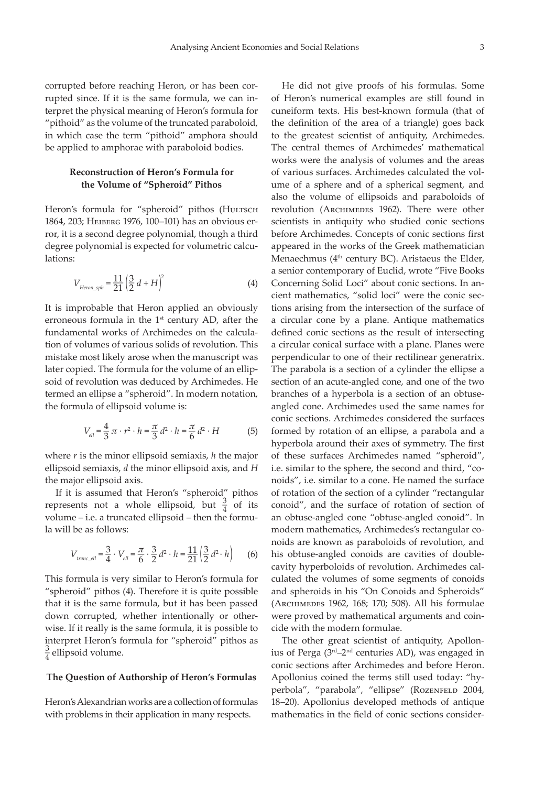corrupted before reaching Heron, or has been corrupted since. If it is the same formula, we can interpret the physical meaning of Heron's formula for "pithoid" as the volume of the truncated paraboloid, in which case the term "pithoid" amphora should be applied to amphorae with paraboloid bodies.

# **Reconstruction of Heron's Formula for the Volume of "Spheroid" Pithos**

Heron's formula for "spheroid" pithos (HULTSCH 1864, 203; Heiberg 1976, 100–101) has an obvious error, it is a second degree polynomial, though a third degree polynomial is expected for volumetric calculations:

$$
V_{Heron\_sph} = \frac{11}{21} \left( \frac{3}{2} d + H \right)^2
$$
 (4)

It is improbable that Heron applied an obviously erroneous formula in the 1<sup>st</sup> century AD, after the fundamental works of Archimedes on the calculation of volumes of various solids of revolution. This mistake most likely arose when the manuscript was later copied. The formula for the volume of an ellipsoid of revolution was deduced by Archimedes. He termed an ellipse a "spheroid". In modern notation, the formula of ellipsoid volume is:

$$
V_{ell} = \frac{4}{3} \pi \cdot r^2 \cdot h = \frac{\pi}{3} d^2 \cdot h = \frac{\pi}{6} d^2 \cdot H
$$
 (5)

where *r* is the minor ellipsoid semiaxis, *h* the major ellipsoid semiaxis, *d* the minor ellipsoid axis, and *H* the major ellipsoid axis.

If it is assumed that Heron's "spheroid" pithos represents not a whole ellipsoid, but  $\frac{3}{4}$  of its volume – i.e. a truncated ellipsoid – then the formula will be as follows:

$$
V_{\text{tranc\_ell}} = \frac{3}{4} \cdot V_{\text{ell}} = \frac{\pi}{6} \cdot \frac{3}{2} d^2 \cdot h = \frac{11}{21} \left( \frac{3}{2} d^2 \cdot h \right) \tag{6}
$$

This formula is very similar to Heron's formula for "spheroid" pithos (4). Therefore it is quite possible that it is the same formula, but it has been passed down corrupted, whether intentionally or otherwise. If it really is the same formula, it is possible to interpret Heron's formula for "spheroid" pithos as  $\frac{3}{4}$  ellipsoid volume.

#### **The Question of Authorship of Heron's Formulas**

Heron's Alexandrian works are a collection of formulas with problems in their application in many respects.

He did not give proofs of his formulas. Some of Heron's numerical examples are still found in cuneiform texts. His best-known formula (that of the definition of the area of a triangle) goes back to the greatest scientist of antiquity, Archimedes. The central themes of Archimedes' mathematical works were the analysis of volumes and the areas of various surfaces. Archimedes calculated the volume of a sphere and of a spherical segment, and also the volume of ellipsoids and paraboloids of revolution (ARCHIMEDES 1962). There were other scientists in antiquity who studied conic sections before Archimedes. Concepts of conic sections first appeared in the works of the Greek mathematician Menaechmus ( $4<sup>th</sup>$  century BC). Aristaeus the Elder, a senior contemporary of Euclid, wrote "Five Books Concerning Solid Loci" about conic sections. In ancient mathematics, "solid loci" were the conic sections arising from the intersection of the surface of a circular cone by a plane. Antique mathematics defined conic sections as the result of intersecting a circular conical surface with a plane. Planes were perpendicular to one of their rectilinear generatrix. The parabola is a section of a cylinder the ellipse a section of an acute-angled cone, and one of the two branches of a hyperbola is a section of an obtuseangled cone. Archimedes used the same names for conic sections. Archimedes considered the surfaces formed by rotation of an ellipse, a parabola and a hyperbola around their axes of symmetry. The first of these surfaces Archimedes named "spheroid", i.e. similar to the sphere, the second and third, "conoids", i.e. similar to a cone. He named the surface of rotation of the section of a cylinder "rectangular conoid", and the surface of rotation of section of an obtuse-angled cone "obtuse-angled conoid". In modern mathematics, Archimedes's rectangular conoids are known as paraboloids of revolution, and his obtuse-angled conoids are cavities of doublecavity hyperboloids of revolution. Archimedes calculated the volumes of some segments of conoids and spheroids in his "On Conoids and Spheroids" (Archimedes 1962, 168; 170; 508). All his formulae were proved by mathematical arguments and coincide with the modern formulae.

The other great scientist of antiquity, Apollonius of Perga (3rd–2nd centuries AD), was engaged in conic sections after Archimedes and before Heron. Apollonius coined the terms still used today: "hyperbola", "parabola", "ellipse" (ROZENFELD 2004, 18–20). Apollonius developed methods of antique mathematics in the field of conic sections consider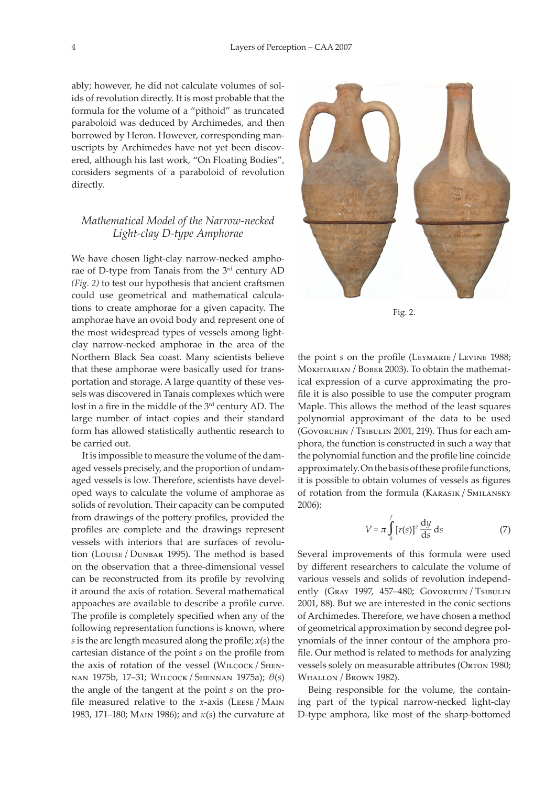ably; however, he did not calculate volumes of solids of revolution directly. It is most probable that the formula for the volume of a "pithoid" as truncated paraboloid was deduced by Archimedes, and then borrowed by Heron. However, corresponding manuscripts by Archimedes have not yet been discovered, although his last work, "On Floating Bodies", considers segments of a paraboloid of revolution directly.

# *Mathematical Model of the Narrow-necked Light-clay D-type Amphorae*

We have chosen light-clay narrow-necked amphorae of D-type from Tanais from the 3rd century AD *(Fig. 2)* to test our hypothesis that ancient craftsmen could use geometrical and mathematical calculations to create amphorae for a given capacity. The amphorae have an ovoid body and represent one of the most widespread types of vessels among lightclay narrow-necked amphorae in the area of the Northern Black Sea coast. Many scientists believe that these amphorae were basically used for transportation and storage. A large quantity of these vessels was discovered in Tanais complexes which were lost in a fire in the middle of the 3<sup>rd</sup> century AD. The large number of intact copies and their standard form has allowed statistically authentic research to be carried out.

It is impossible to measure the volume of the damaged vessels precisely, and the proportion of undamaged vessels is low. Therefore, scientists have developed ways to calculate the volume of amphorae as solids of revolution. Their capacity can be computed from drawings of the pottery profiles, provided the profiles are complete and the drawings represent vessels with interiors that are surfaces of revolution (Louise / Dunbar 1995). The method is based on the observation that a three-dimensional vessel can be reconstructed from its profile by revolving it around the axis of rotation. Several mathematical appoaches are available to describe a profile curve. The profile is completely specified when any of the following representation functions is known, where *s* is the arc length measured along the profile; *x*(*s*) the сartesian distance of the point *s* on the profile from the axis of rotation of the vessel (WILCOCK / SHENnan 1975b, 17–31; Wilcock / Shennan 1975a); *θ*(*s*) the angle of the tangent at the point *s* on the profile measured relative to the *x*-axis (LEESE / MAIN 1983, 171–180; Main 1986); and *κ*(*s*) the curvature at



Fig. 2.

the point *s* on the profile (LEYMARIE / LEVINE 1988; Mokhtarian / Bober 2003). To obtain the mathematical expression of a curve approximating the profile it is also possible to use the computer program Maple. This allows the method of the least squares polynomial approximant of the data to be used (Govoruhin / Tsibulin 2001, 219). Thus for each amphora, the function is constructed in such a way that the polynomial function and the profile line coincide approximately. On the basis of these profile functions, it is possible to obtain volumes of vessels as figures of rotation from the formula (Karasik / Smilansky 2006):

$$
V = \pi \int_{0}^{f} [r(s)]^2 \frac{dy}{ds} ds
$$
 (7)

Several improvements of this formula were used by different researchers to calculate the volume of various vessels and solids of revolution independently (Gray 1997, 457-480; Govoruhin / Tsibulin 2001, 88). But we are interested in the conic sections of Archimedes. Therefore, we have chosen a method of geometrical approximation by second degree polynomials of the inner contour of the amphora profile. Our method is related to methods for analyzing vessels solely on measurable attributes (ORTON 1980; WHALLON / BROWN 1982).

Being responsible for the volume, the containing part of the typical narrow-necked light-clay D-type amphora, like most of the sharp-bottomed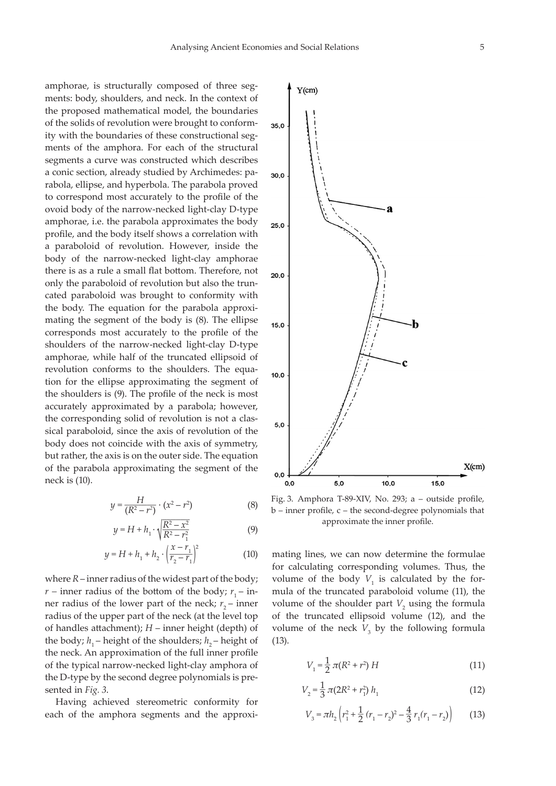amphorae, is structurally composed of three segments: body, shoulders, and neck. In the context of the proposed mathematical model, the boundaries of the solids of revolution were brought to conformity with the boundaries of these constructional segments of the amphora. For each of the structural segments a curve was constructed which describes a conic section, already studied by Archimedes: parabola, ellipse, and hyperbola. The parabola proved to correspond most accurately to the profile of the ovoid body of the narrow-necked light-clay D-type amphorae, i.e. the parabola approximates the body profile, and the body itself shows a correlation with a paraboloid of revolution. However, inside the body of the narrow-necked light-clay amphorae there is as a rule a small flat bottom. Therefore, not only the paraboloid of revolution but also the truncated paraboloid was brought to conformity with the body. The equation for the parabola approximating the segment of the body is (8). The ellipse corresponds most accurately to the profile of the shoulders of the narrow-necked light-clay D-type amphorae, while half of the truncated ellipsoid of revolution conforms to the shoulders. The equation for the ellipse approximating the segment of the shoulders is (9). The profile of the neck is most accurately approximated by a parabola; however, the corresponding solid of revolution is not a classical paraboloid, since the axis of revolution of the body does not coincide with the axis of symmetry, but rather, the axis is on the outer side. The equation of the parabola approximating the segment of the neck is (10).

$$
y = \frac{H}{(R^2 - r^2)} \cdot (x^2 - r^2)
$$
 (8)

$$
y = H + h_1 \cdot \sqrt{\frac{R^2 - x^2}{R^2 - r_1^2}}
$$
 (9)

$$
y = H + h_1 + h_2 \cdot \left(\frac{x - r_1}{r_2 - r_1}\right)^2 \tag{10}
$$

where *R* – inner radius of the widest part of the body;  $r$  – inner radius of the bottom of the body;  $r_1$  – inner radius of the lower part of the neck;  $r<sub>2</sub>$  – inner radius of the upper part of the neck (at the level top of handles attachment); *H* – inner height (depth) of the body;  $h_1$  – height of the shoulders;  $h_2$  – height of the neck. An approximation of the full inner profile of the typical narrow-necked light-clay amphora of the D-type by the second degree polynomials is presented in *Fig. 3*.

Having achieved stereometric conformity for each of the amphora segments and the approxi-



Fig. 3. Amphora T-89-XIV, No. 293; a – outside profile, b – inner profile, c – the second-degree polynomials that approximate the inner profile.

mating lines, we can now determine the formulae for calculating corresponding volumes. Thus, the volume of the body  $V_1$  is calculated by the formula of the truncated paraboloid volume (11), the volume of the shoulder part  $V_2$  using the formula of the truncated ellipsoid volume (12), and the volume of the neck  $V_3$  by the following formula (13).

$$
V_1 = \frac{1}{2} \pi (R^2 + r^2) H \tag{11}
$$

$$
V_2 = \frac{1}{3} \pi (2R^2 + r_1^2) h_1 \tag{12}
$$

$$
V_3 = \pi h_2 \left( r_1^2 + \frac{1}{2} \left( r_1 - r_2 \right)^2 - \frac{4}{3} \, r_1 \left( r_1 - r_2 \right) \right) \tag{13}
$$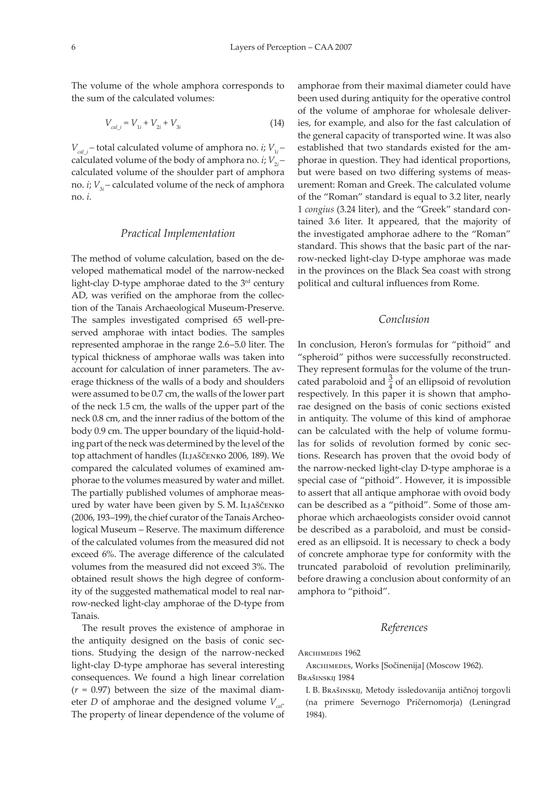The volume of the whole amphora corresponds to the sum of the calculated volumes:

$$
V_{\text{cal}_i} = V_{1i} + V_{2i} + V_{3i} \tag{14}
$$

 $V_{cal}$ <sup> $i$ </sup>,  $V_{1i}$  – total calculated volume of amphora no. *i*;  $V_{1i}$  – calculated volume of the body of amphora no. *i*;  $V_{2i}$ calculated volume of the shoulder part of amphora no. *i*; *V*<sub>3*i*</sub> – calculated volume of the neck of amphora no. *i*.

# *Practical Implementation*

The method of volume calculation, based on the developed mathematical model of the narrow-necked light-clay D-type amphorae dated to the 3rd century AD, was verified on the amphorae from the collection of the Tanais Archaeological Museum-Preserve. The samples investigated comprised 65 well-preserved amphorae with intact bodies. The samples represented amphorae in the range 2.6–5.0 liter. The typical thickness of amphorae walls was taken into account for calculation of inner parameters. The average thickness of the walls of a body and shoulders were assumed to be 0.7 cm, the walls of the lower part of the neck 1.5 cm, the walls of the upper part of the neck 0.8 cm, and the inner radius of the bottom of the body 0.9 cm. The upper boundary of the liquid-holding part of the neck was determined by the level of the top attachment of handles (ILJAŠČENKO 2006, 189). We compared the calculated volumes of examined amphorae to the volumes measured by water and millet. The partially published volumes of amphorae measured by water have been given by S. M. ILJAŠČENKO (2006, 193–199), the chief curator of the Tanais Archeological Museum – Reserve. The maximum difference of the calculated volumes from the measured did not exceed 6%. The average difference of the calculated volumes from the measured did not exceed 3%. The obtained result shows the high degree of conformity of the suggested mathematical model to real narrow-necked light-clay amphorae of the D-type from Tanais.

The result proves the existence of amphorae in the antiquity designed on the basis of conic sections. Studying the design of the narrow-necked light-clay D-type amphorae has several interesting consequences. We found a high linear correlation  $(r = 0.97)$  between the size of the maximal diameter *D* of amphorae and the designed volume  $V_{cat}$ . The property of linear dependence of the volume of

amphorae from their maximal diameter could have been used during antiquity for the operative control of the volume of amphorae for wholesale deliveries, for example, and also for the fast calculation of the general capacity of transported wine. It was also established that two standards existed for the amphorae in question. They had identical proportions, but were based on two differing systems of measurement: Roman and Greek. The calculated volume of the "Roman" standard is equal to 3.2 liter, nearly 1 *congius* (3.24 liter), and the "Greek" standard contained 3.6 liter. It appeared, that the majority of the investigated amphorae adhere to the "Roman" standard. This shows that the basic part of the narrow-necked light-clay D-type amphorae was made in the provinces on the Black Sea coast with strong political and cultural influences from Rome.

# *Conclusion*

In conclusion, Heron's formulas for "pithoid" and "spheroid" pithos were successfully reconstructed. They represent formulas for the volume of the truncated paraboloid and  $\frac{3}{4}$  of an ellipsoid of revolution respectively. In this paper it is shown that amphorae designed on the basis of conic sections existed in antiquity. The volume of this kind of amphorae can be calculated with the help of volume formulas for solids of revolution formed by conic sections. Research has proven that the ovoid body of the narrow-necked light-clay D-type amphorae is a special case of "pithoid". However, it is impossible to assert that all antique amphorae with ovoid body can be described as a "pithoid". Some of those amphorae which archaeologists consider ovoid cannot be described as a paraboloid, and must be considered as an ellipsoid. It is necessary to check a body of concrete amphorae type for conformity with the truncated paraboloid of revolution preliminarily, before drawing a conclusion about conformity of an amphora to "pithoid".

# *References*

ARCHIMEDES 1962

Archimedes, Works [Sočinenija] (Moscow 1962). Brašinskij 1984

I. B. Brašinskij, Metody issledovanija antičnoj torgovli (na primere Severnogo Pričernomorja) (Leningrad 1984).